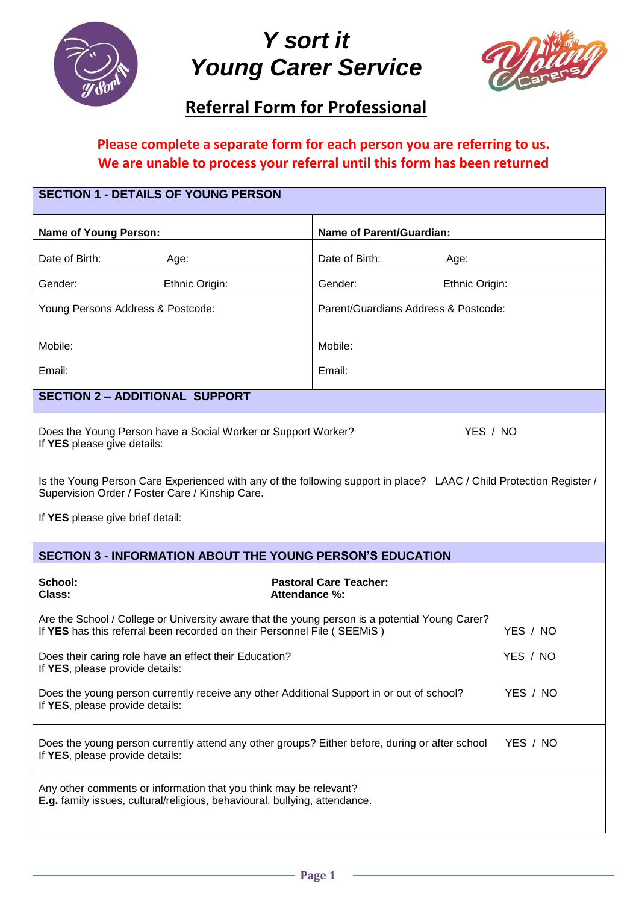

# *Y sort it Young Carer Service*



## **Referral Form for Professional**

## **Please complete a separate form for each person you are referring to us. We are unable to process your referral until this form has been returned**

| <b>SECTION 1 - DETAILS OF YOUNG PERSON</b>                                                                                                                                            |                                      |  |  |
|---------------------------------------------------------------------------------------------------------------------------------------------------------------------------------------|--------------------------------------|--|--|
| <b>Name of Young Person:</b>                                                                                                                                                          | Name of Parent/Guardian:             |  |  |
| Date of Birth:<br>Age:                                                                                                                                                                | Date of Birth:<br>Age:               |  |  |
| Gender:<br>Ethnic Origin:                                                                                                                                                             | Gender:<br>Ethnic Origin:            |  |  |
| Young Persons Address & Postcode:                                                                                                                                                     | Parent/Guardians Address & Postcode: |  |  |
| Mobile:                                                                                                                                                                               | Mobile:                              |  |  |
| Email:                                                                                                                                                                                | Email:                               |  |  |
| <b>SECTION 2 - ADDITIONAL SUPPORT</b>                                                                                                                                                 |                                      |  |  |
| YES / NO<br>Does the Young Person have a Social Worker or Support Worker?<br>If YES please give details:                                                                              |                                      |  |  |
| Is the Young Person Care Experienced with any of the following support in place? LAAC / Child Protection Register /<br>Supervision Order / Foster Care / Kinship Care.                |                                      |  |  |
| If YES please give brief detail:                                                                                                                                                      |                                      |  |  |
| <b>SECTION 3 - INFORMATION ABOUT THE YOUNG PERSON'S EDUCATION</b>                                                                                                                     |                                      |  |  |
| School:<br>Class:<br>Attendance %:                                                                                                                                                    | <b>Pastoral Care Teacher:</b>        |  |  |
| Are the School / College or University aware that the young person is a potential Young Carer?<br>If YES has this referral been recorded on their Personnel File (SEEMiS)<br>YES / NO |                                      |  |  |
| Does their caring role have an effect their Education?<br>YES / NO<br>If YES, please provide details:                                                                                 |                                      |  |  |
| YES / NO<br>Does the young person currently receive any other Additional Support in or out of school?<br>If YES, please provide details:                                              |                                      |  |  |
| Does the young person currently attend any other groups? Either before, during or after school<br>YES / NO<br>If YES, please provide details:                                         |                                      |  |  |
| Any other comments or information that you think may be relevant?<br>E.g. family issues, cultural/religious, behavioural, bullying, attendance.                                       |                                      |  |  |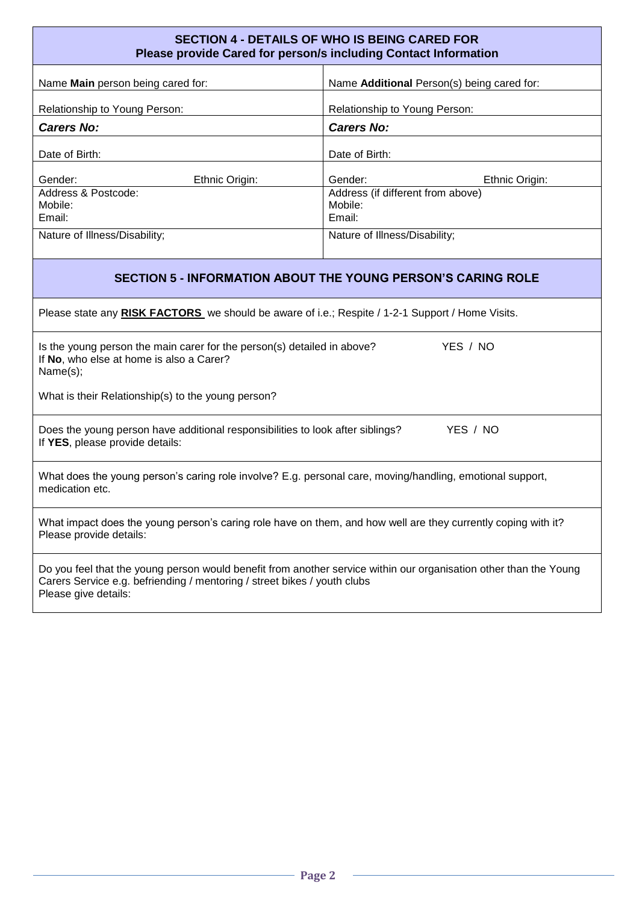| <b>SECTION 4 - DETAILS OF WHO IS BEING CARED FOR</b><br>Please provide Cared for person/s including Contact Information                                                                                               |                                                        |  |
|-----------------------------------------------------------------------------------------------------------------------------------------------------------------------------------------------------------------------|--------------------------------------------------------|--|
| Name Main person being cared for:                                                                                                                                                                                     | Name Additional Person(s) being cared for:             |  |
| Relationship to Young Person:                                                                                                                                                                                         | Relationship to Young Person:                          |  |
| <b>Carers No:</b>                                                                                                                                                                                                     | <b>Carers No:</b>                                      |  |
| Date of Birth:                                                                                                                                                                                                        | Date of Birth:                                         |  |
| Gender:<br>Ethnic Origin:                                                                                                                                                                                             | Gender:<br>Ethnic Origin:                              |  |
| Address & Postcode:<br>Mobile:<br>Email:                                                                                                                                                                              | Address (if different from above)<br>Mobile:<br>Email: |  |
| Nature of Illness/Disability;                                                                                                                                                                                         | Nature of Illness/Disability;                          |  |
| <b>SECTION 5 - INFORMATION ABOUT THE YOUNG PERSON'S CARING ROLE</b>                                                                                                                                                   |                                                        |  |
| Please state any RISK FACTORS we should be aware of i.e.; Respite / 1-2-1 Support / Home Visits.                                                                                                                      |                                                        |  |
| YES / NO<br>Is the young person the main carer for the person(s) detailed in above?<br>If No, who else at home is also a Carer?<br>Name(s);                                                                           |                                                        |  |
| What is their Relationship(s) to the young person?                                                                                                                                                                    |                                                        |  |
| Does the young person have additional responsibilities to look after siblings?<br>YES / NO<br>If YES, please provide details:                                                                                         |                                                        |  |
| What does the young person's caring role involve? E.g. personal care, moving/handling, emotional support,<br>medication etc.                                                                                          |                                                        |  |
| What impact does the young person's caring role have on them, and how well are they currently coping with it?<br>Please provide details:                                                                              |                                                        |  |
| Do you feel that the young person would benefit from another service within our organisation other than the Young<br>Carers Service e.g. befriending / mentoring / street bikes / youth clubs<br>Please give details: |                                                        |  |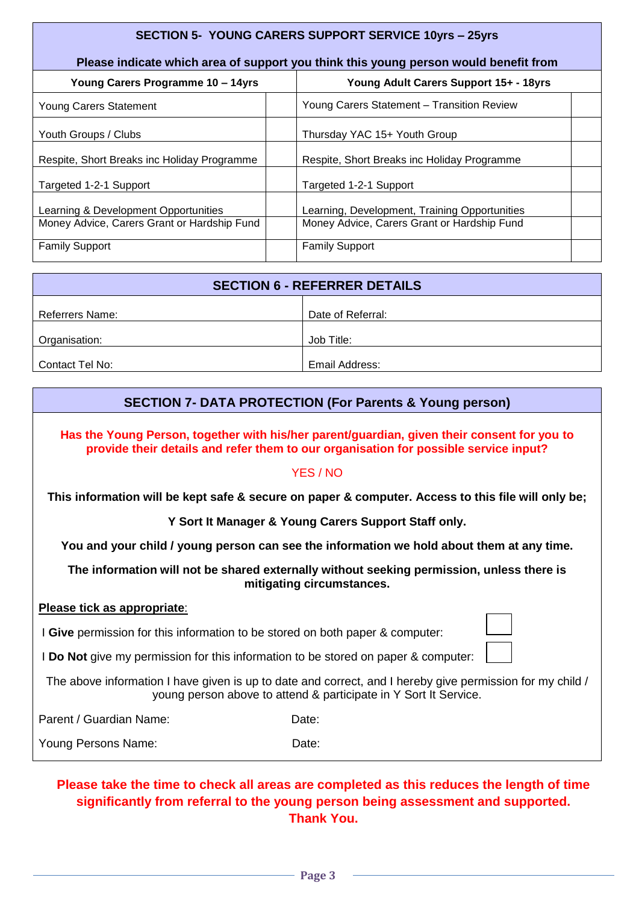| <b>SECTION 5- YOUNG CARERS SUPPORT SERVICE 10yrs - 25yrs</b>                         |  |                                               |  |
|--------------------------------------------------------------------------------------|--|-----------------------------------------------|--|
| Please indicate which area of support you think this young person would benefit from |  |                                               |  |
| Young Carers Programme 10 - 14yrs                                                    |  | Young Adult Carers Support 15+ - 18yrs        |  |
| Young Carers Statement                                                               |  | Young Carers Statement - Transition Review    |  |
| Youth Groups / Clubs                                                                 |  | Thursday YAC 15+ Youth Group                  |  |
| Respite, Short Breaks inc Holiday Programme                                          |  | Respite, Short Breaks inc Holiday Programme   |  |
| Targeted 1-2-1 Support                                                               |  | Targeted 1-2-1 Support                        |  |
| Learning & Development Opportunities                                                 |  | Learning, Development, Training Opportunities |  |
| Money Advice, Carers Grant or Hardship Fund                                          |  | Money Advice, Carers Grant or Hardship Fund   |  |
| <b>Family Support</b>                                                                |  | <b>Family Support</b>                         |  |

| <b>SECTION 6 - REFERRER DETAILS</b> |                   |  |
|-------------------------------------|-------------------|--|
| Referrers Name:                     | Date of Referral: |  |
| Organisation:                       | Job Title:        |  |
| Contact Tel No:                     | Email Address:    |  |

## **SECTION 7- DATA PROTECTION (For Parents & Young person)**

**Has the Young Person, together with his/her parent/guardian, given their consent for you to provide their details and refer them to our organisation for possible service input?** 

#### YES / NO

**This information will be kept safe & secure on paper & computer. Access to this file will only be;**

**Y Sort It Manager & Young Carers Support Staff only.**

**You and your child / young person can see the information we hold about them at any time.**

**The information will not be shared externally without seeking permission, unless there is mitigating circumstances.**

#### **Please tick as appropriate**:

I **Give** permission for this information to be stored on both paper & computer:

I **Do Not** give my permission for this information to be stored on paper & computer:

The above information I have given is up to date and correct, and I hereby give permission for my child / young person above to attend & participate in Y Sort It Service.

Parent / Guardian Name: Date: Date:

Young Persons Name: Date:

### **Please take the time to check all areas are completed as this reduces the length of time significantly from referral to the young person being assessment and supported. Thank You.**